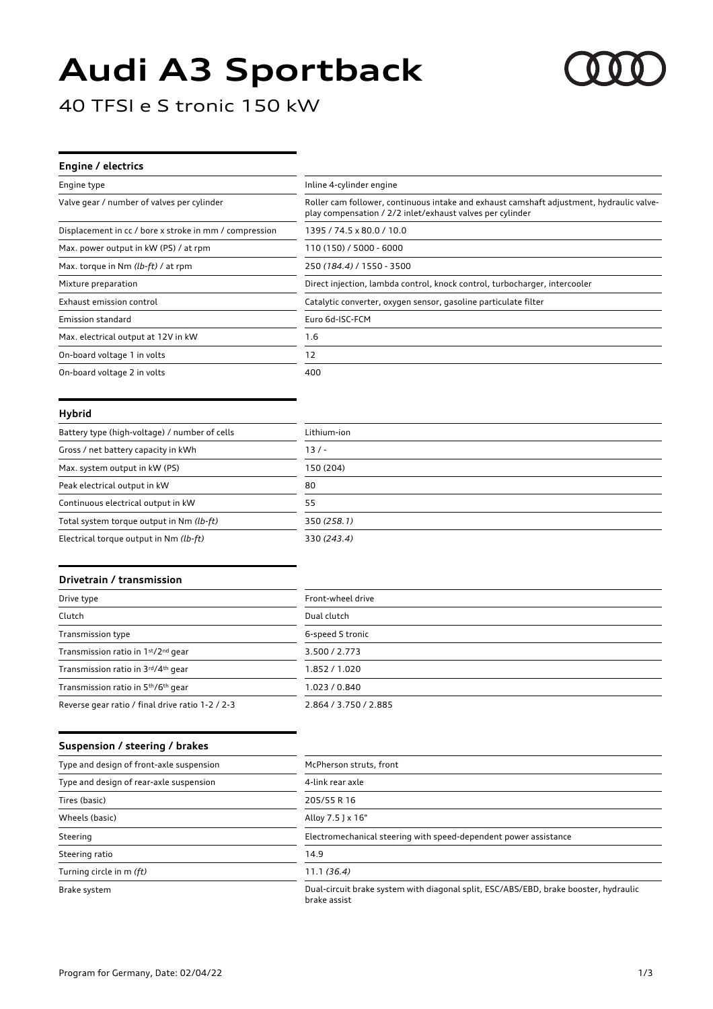# **Audi A3 Sportback**



40 TFSI e S tronic 150 kW

# **Engine / electrics** Engine type **Inline 4-cylinder engine** Valve gear / number of valves per cylinder Roller cam follower, continuous intake and exhaust camshaft adjustment, hydraulic valveplay compensation / 2/2 inlet/exhaust valves per cylinder Displacement in cc / bore x stroke in mm / compression 1395 / 74.5 x 80.0 / 10.0 Max. power output in kW (PS) / at rpm 110 (150) / 5000 - 6000 Max. torque in Nm *(lb-ft)* / at rpm 250 *(184.4)* / 1550 - 3500 Mixture preparation **Direct injection, lambda control**, knock control, turbocharger, intercooler Exhaust emission control Catalytic converter, oxygen sensor, gasoline particulate filter Emission standard **Euro 6d-ISC-FCM** Max. electrical output at 12V in kW 1.6 On-board voltage 1 in volts 12 On-board voltage 2 in volts 400

#### **Hybrid**

| Battery type (high-voltage) / number of cells | Lithium-ion |
|-----------------------------------------------|-------------|
| Gross / net battery capacity in kWh           | $13/ -$     |
| Max. system output in kW (PS)                 | 150 (204)   |
| Peak electrical output in kW                  | 80          |
| Continuous electrical output in kW            | 55          |
| Total system torque output in Nm (lb-ft)      | 350 (258.1) |
| Electrical torque output in Nm (lb-ft)        | 330 (243.4) |

#### **Drivetrain / transmission**

| Drive type                                                  | Front-wheel drive     |
|-------------------------------------------------------------|-----------------------|
| Clutch                                                      | Dual clutch           |
| Transmission type                                           | 6-speed S tronic      |
| Transmission ratio in 1st/2nd gear                          | 3.500 / 2.773         |
| Transmission ratio in 3rd/4th gear                          | 1.852 / 1.020         |
| Transmission ratio in 5 <sup>th</sup> /6 <sup>th</sup> gear | 1.023 / 0.840         |
| Reverse gear ratio / final drive ratio 1-2 / 2-3            | 2.864 / 3.750 / 2.885 |

#### **Suspension / steering / brakes**

| Type and design of front-axle suspension | McPherson struts, front                                                                              |
|------------------------------------------|------------------------------------------------------------------------------------------------------|
| Type and design of rear-axle suspension  | 4-link rear axle                                                                                     |
| Tires (basic)                            | 205/55 R 16                                                                                          |
| Wheels (basic)                           | Alloy 7.5 J x 16"                                                                                    |
| Steering                                 | Electromechanical steering with speed-dependent power assistance                                     |
| Steering ratio                           | 14.9                                                                                                 |
| Turning circle in m (ft)                 | 11.1(36.4)                                                                                           |
| Brake system                             | Dual-circuit brake system with diagonal split, ESC/ABS/EBD, brake booster, hydraulic<br>brake assist |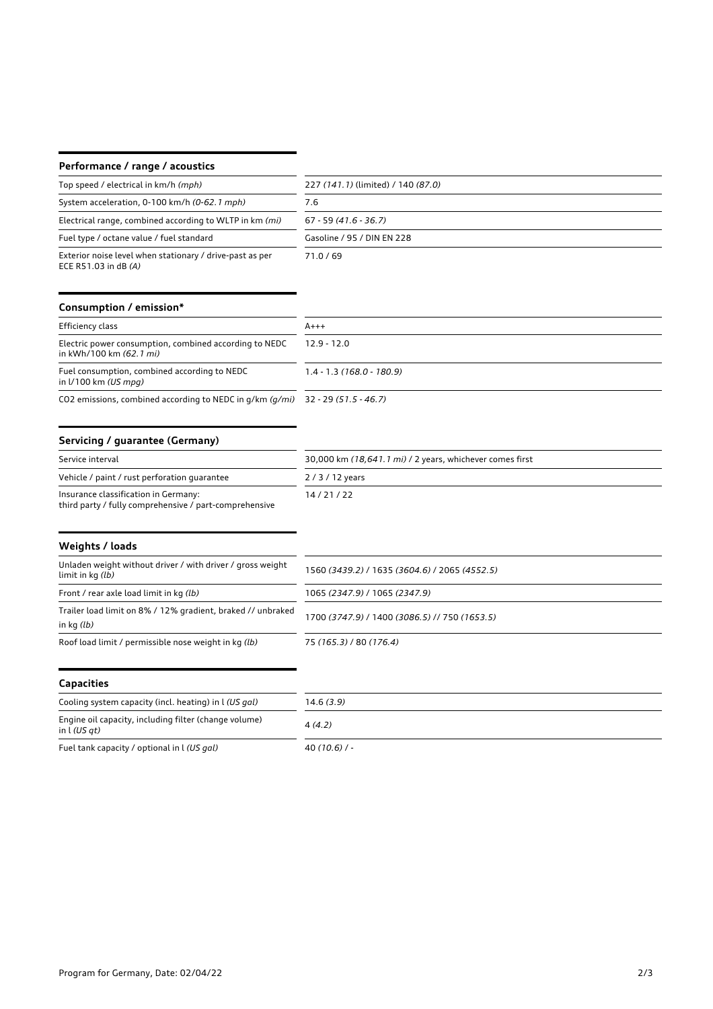## **Performance / range / acoustics**

| Top speed / electrical in km/h (mph)                                               | 227 (141.1) (limited) / 140 (87.0) |
|------------------------------------------------------------------------------------|------------------------------------|
| System acceleration, 0-100 km/h (0-62.1 mph)                                       | 7.6                                |
| Electrical range, combined according to WLTP in km (mi)                            | $67 - 59(41.6 - 36.7)$             |
| Fuel type / octane value / fuel standard                                           | Gasoline / 95 / DIN EN 228         |
| Exterior noise level when stationary / drive-past as per<br>ECE R51.03 in dB $(A)$ | 71.0/69                            |

#### **Consumption / emission\***

| Efficiency class                                                                  | $A+++$                     |
|-----------------------------------------------------------------------------------|----------------------------|
| Electric power consumption, combined according to NEDC<br>in kWh/100 km (62.1 mi) | $12.9 - 12.0$              |
| Fuel consumption, combined according to NEDC<br>in $1/100$ km (US mpg)            | $1.4 - 1.3(168.0 - 180.9)$ |

CO2 emissions, combined according to NEDC in g/km *(g/mi)* 32 - 29 *(51.5 - 46.7)*

## **Servicing / guarantee (Germany)**

| Service interval                             | 30,000 km (18,641.1 mi) / 2 years, whichever comes first |
|----------------------------------------------|----------------------------------------------------------|
| Vehicle / paint / rust perforation quarantee | 2/3/12 years                                             |
| Insurance classification in Germany:         | 14/21/22                                                 |

third party / fully comprehensive / part-comprehensive

# **Weights / loads** Unladen weight without driver / with driver / gross weight<br>limit in kg  $(lb)$ limit in kg *(lb)* <sup>1560</sup>*(3439.2)* / 1635 *(3604.6)* / 2065 *(4552.5)* Front / rear axle load limit in kg *(lb)* 1065 *(2347.9)* / 1065 *(2347.9)* Trailer load limit on 8% / 12% gradient, braked // unbraked in kg *(lb)* 1700 *(3747.9)* / 1400 *(3086.5)* // 750 *(1653.5)* Roof load limit / permissible nose weight in kg *(lb)* 75 *(165.3)* / 80 *(176.4)* **Capacities**

# Cooling system capacity (incl. heating) in l *(US gal)* 14.6 *(3.9)* Engine oil capacity, including filter (change volume) in l *(US qt)* <sup>4</sup>*(4.2)* Fuel tank capacity / optional in l *(US gal)* 40 *(10.6)* / -